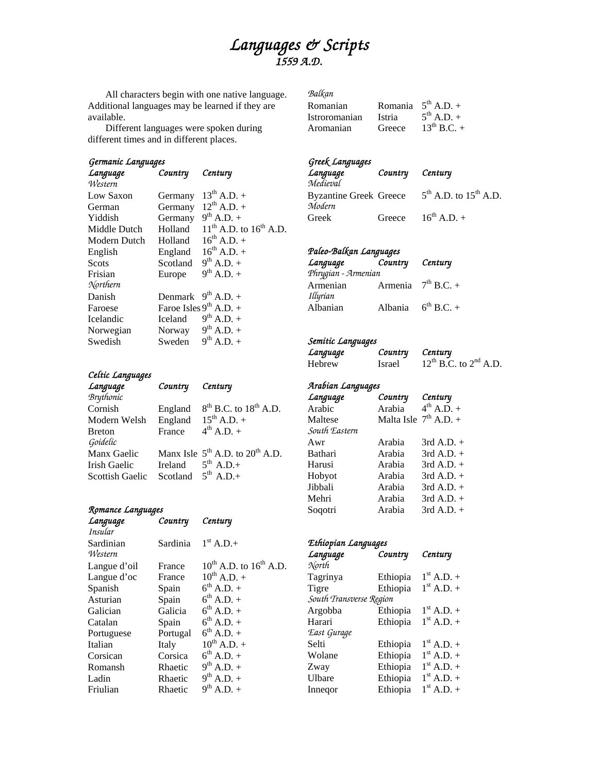# *Languages & Scripts 1559 A.D.*

All characters begin with one native language. Additional languages may be learned if they are available.

 Different languages were spoken during different times and in different places.

## *Germanic Languages*

| Language     | Country  | Century                          |
|--------------|----------|----------------------------------|
| Western      |          |                                  |
| Low Saxon    | Germany  | $13^{th}$ A.D. +                 |
| German       | Germany  | $12^{th}$ A.D. +                 |
| Yiddish      | Germany  | $9^{th}$ A.D. +                  |
| Middle Dutch | Holland  | $11^{th}$ A.D. to $16^{th}$ A.D. |
| Modern Dutch | Holland  | $16^{th}$ A.D. +                 |
| English      | England  | $16^{th}$ A.D. +                 |
| <b>Scots</b> | Scotland | $9^{th}$ A.D. +                  |
| Frisian      | Europe   | $9^{th}$ A.D. +                  |
| Northern     |          |                                  |
| Danish       | Denmark  | $9^{th}$ A.D. +                  |
| Faroese      |          | Faroe Isles $9^{th}$ A.D. +      |
| Icelandic    | Iceland  | $9^{th}$ A.D. +                  |
| Norwegian    | Norway   | $9^{th}$ A.D. +                  |
| Swedish      | Sweden   | $9^{th}$ A.D. +                  |

# *Celtic Languages*

| Language         | Country                 | Century                                   |
|------------------|-------------------------|-------------------------------------------|
| <b>Brythonic</b> |                         |                                           |
| Cornish          | England                 | $8th$ B.C. to $18th$ A.D.                 |
| Modern Welsh     | England                 | $15^{th}$ A.D. +                          |
| <b>Breton</b>    | France                  | $4^{th}$ A.D. +                           |
| Goidelic         |                         |                                           |
| Manx Gaelic      |                         | Manx Isle $5^{th}$ A.D. to $20^{th}$ A.D. |
| Irish Gaelic     | Ireland                 | $5^{th}$ A.D.+                            |
| Scottish Gaelic  | Scotland $5^{th}$ A.D.+ |                                           |

#### *Romance Languages*

| Language     | Country  | Century                          |
|--------------|----------|----------------------------------|
| Insular      |          |                                  |
| Sardinian    | Sardinia | $1st$ A.D.+                      |
| Western      |          |                                  |
| Langue d'oil | France   | $10^{th}$ A.D. to $16^{th}$ A.D. |
| Langue d'oc  | France   | $10^{th}$ A.D. +                 |
| Spanish      | Spain    | $6^{th}$ A.D. +                  |
| Asturian     | Spain    | $6^{th}$ A.D. +                  |
| Galician     | Galicia  | $6^{th}$ A.D. +                  |
| Catalan      | Spain    | $6^{th}$ A.D. +                  |
| Portuguese   | Portugal | $6^{th}$ A.D. +                  |
| Italian      | Italy    | $10^{th}$ A.D. +                 |
| Corsican     | Corsica  | $6^{th}$ A.D. +                  |
| Romansh      | Rhaetic  | $9^{th}$ A.D. +                  |
| Ladin        | Rhaetic  | $9^{th}$ A.D. +                  |
| Friulian     | Rhaetic  | $9^{th}$ A.D. +                  |

| Balkan        |               |                         |
|---------------|---------------|-------------------------|
| Romanian      |               | Romania $5^{th}$ A.D. + |
| Istroromanian | <i>Istria</i> | $5^{th}$ A.D. +         |
| Aromanian     | Greece        | $13^{th}$ B.C. +        |

# *Greek Languages*

| Language                      | Country Century |                                 |
|-------------------------------|-----------------|---------------------------------|
| Medieval                      |                 |                                 |
| <b>Byzantine Greek Greece</b> |                 | $5^{th}$ A.D. to $15^{th}$ A.D. |
| Modern                        |                 |                                 |
| Greek                         |                 | Greece $16^{th}$ A.D. +         |

### *Paleo-Balkan Languages*

| Language            | Country Century |                         |
|---------------------|-----------------|-------------------------|
| Phrygian - Armenian |                 |                         |
| Armenian            |                 | Armenia $7th$ B.C. +    |
| Illyrian            |                 |                         |
| Albanian            |                 | Albania $6^{th}$ B.C. + |

# *Semitic Languages*

| Language      | Country | Century                         |
|---------------|---------|---------------------------------|
| <b>Hebrew</b> | Israel  | $12^{th}$ B.C. to $2^{nd}$ A.D. |

*Arabian Languages* 

| Language      | Country                 | Century         |
|---------------|-------------------------|-----------------|
| Arabic        | Arabia                  | $4^{th}$ A.D. + |
| Maltese       | Malta Isle $7th$ A.D. + |                 |
| South Eastern |                         |                 |
| Awr           | Arabia                  | $3rd$ A.D. $+$  |
| Bathari       | Arabia                  | $3rd$ A.D. $+$  |
| Harusi        | Arabia                  | $3rd$ A.D. $+$  |
| Hobyot        | Arabia                  | $3rd$ A.D. $+$  |
| Jibbali       | Arabia                  | $3rd$ A.D. $+$  |
| Mehri         | Arabia                  | $3rd$ A.D. $+$  |
| Soqotri       | Arabia                  | $3rd$ A.D. $+$  |
|               |                         |                 |

# *Ethiopian Languages*

| Language                | Country  | Century             |
|-------------------------|----------|---------------------|
| North                   |          |                     |
| Tagrinya                | Ethiopia | $1^{\rm st}$ A.D. + |
| Tigre                   | Ethiopia | $1^{\rm st}$ A.D. + |
| South Transverse Region |          |                     |
| Argobba                 | Ethiopia | $1^{\rm st}$ A.D. + |
| Harari                  | Ethiopia | $1^{\rm st}$ A.D. + |
| East Gurage             |          |                     |
| Selti                   | Ethiopia | $1^{\rm st}$ A.D. + |
| Wolane                  | Ethiopia | $1^{\rm st}$ A.D. + |
| Zway                    | Ethiopia | $1^{\rm st}$ A.D. + |
| Ulbare                  | Ethiopia | $1^{\rm st}$ A.D. + |
| Innegor                 | Ethiopia | $1st$ A.D. +        |
|                         |          |                     |